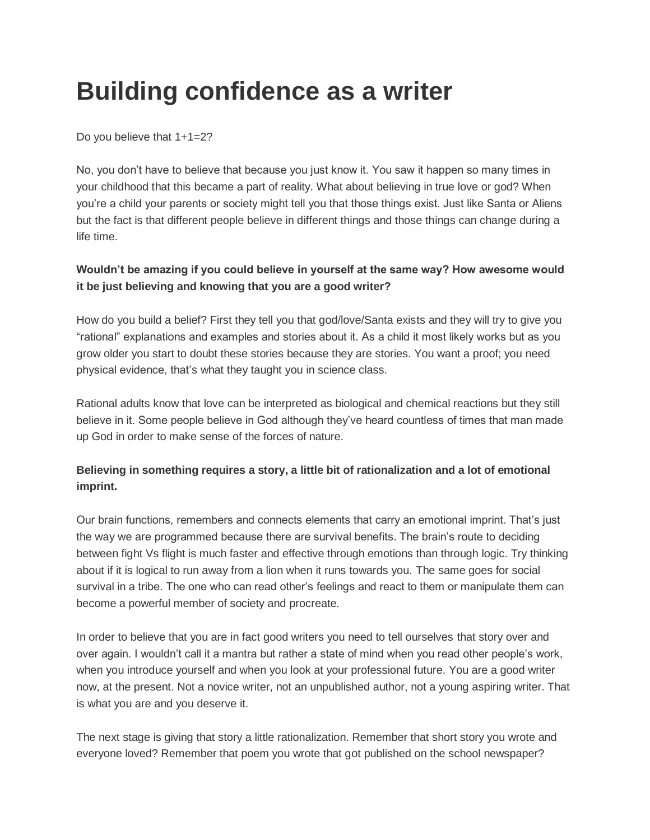## **Building confidence as a writer**

Do you believe that 1+1=2?

No, you don't have to believe that because you just know it. You saw it happen so many times in your childhood that this became a part of reality. What about believing in true love or god? When you're a child your parents or society might tell you that those things exist. Just like Santa or Aliens but the fact is that different people believe in different things and those things can change during a life time.

## **Wouldn't be amazing if you could believe in yourself at the same way? How awesome would it be just believing and knowing that you are a good writer?**

How do you build a belief? First they tell you that god/love/Santa exists and they will try to give you "rational" explanations and examples and stories about it. As a child it most likely works but as you grow older you start to doubt these stories because they are stories. You want a proof; you need physical evidence, that's what they taught you in science class.

Rational adults know that love can be interpreted as biological and chemical reactions but they still believe in it. Some people believe in God although they've heard countless of times that man made up God in order to make sense of the forces of nature.

## **Believing in something requires a story, a little bit of rationalization and a lot of emotional imprint.**

Our brain functions, remembers and connects elements that carry an emotional imprint. That's just the way we are programmed because there are survival benefits. The brain's route to deciding between fight Vs flight is much faster and effective through emotions than through logic. Try thinking about if it is logical to run away from a lion when it runs towards you. The same goes for social survival in a tribe. The one who can read other's feelings and react to them or manipulate them can become a powerful member of society and procreate.

In order to believe that you are in fact good writers you need to tell ourselves that story over and over again. I wouldn't call it a mantra but rather a state of mind when you read other people's work, when you introduce yourself and when you look at your professional future. You are a good writer now, at the present. Not a novice writer, not an unpublished author, not a young aspiring writer. That is what you are and you deserve it.

The next stage is giving that story a little rationalization. Remember that short story you wrote and everyone loved? Remember that poem you wrote that got published on the school newspaper?